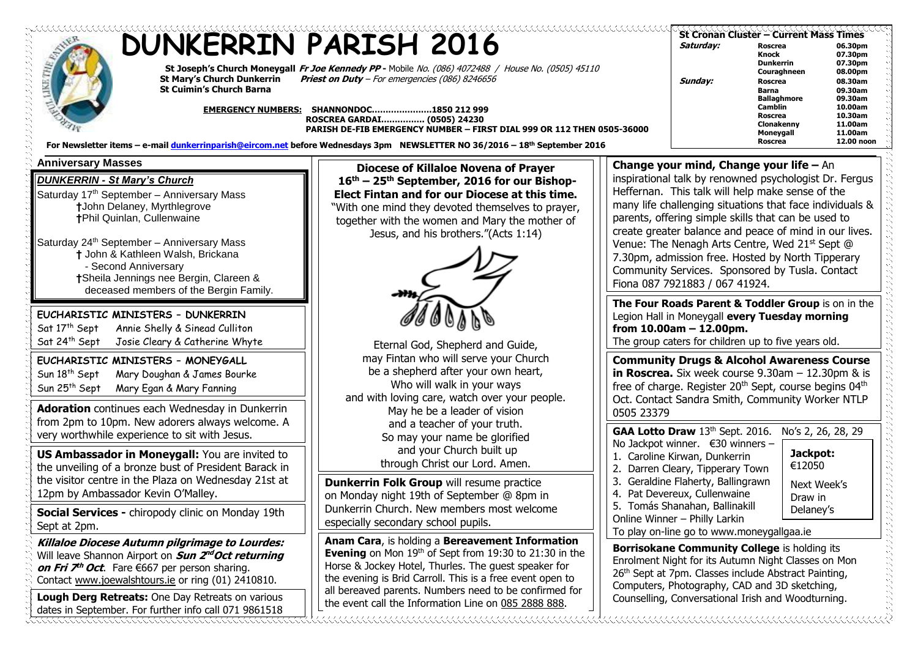| <b>DUNKERRIN PARISH 2016</b><br>St Joseph's Church Moneygall Fr Joe Kennedy PP - Mobile No. (086) 4072488 / House No. (0505) 45110<br><b>St Mary's Church Dunkerrin</b><br><b>Priest on Duty</b> - For emergencies (086) 8246656<br><b>St Cuimin's Church Barna</b><br>EMERGENCY NUMBERS: SHANNONDOC1850 212 999<br>ROSCREA GARDAI (0505) 24230<br>PARISH DE-FIB EMERGENCY NUMBER - FIRST DIAL 999 OR 112 THEN 0505-36000<br>For Newsletter items - e-mail dunkerrinparish@eircom.net before Wednesdays 3pm NEWSLETTER NO 36/2016 - 18th September 2016 |                                                                                                                                                                                                                                                                                                                                                           |                                                                                                                                                                                                                                                                                                                                                                                                                                                                     | Saturday:<br>Sunday:                                                                                                                                                                                                                                                                                                                                                                                                                                                                                                                         | St Cronan Cluster - Current Mass Times<br>Roscrea<br>Knock<br><b>Dunkerrin</b><br>Couraghneen<br><b>Roscrea</b><br>Barna<br><b>Ballaghmore</b><br><b>Camblin</b><br><b>Roscrea</b><br>Clonakenny<br>Moneygall<br><b>Roscrea</b> | 06.30pm<br>07.30pm<br>07.30pm<br>08.00pm<br>08.30am<br>09.30am<br>09.30am<br>10.00am<br>10.30am<br>11.00am<br>11.00am<br>12.00 noon |
|---------------------------------------------------------------------------------------------------------------------------------------------------------------------------------------------------------------------------------------------------------------------------------------------------------------------------------------------------------------------------------------------------------------------------------------------------------------------------------------------------------------------------------------------------------|-----------------------------------------------------------------------------------------------------------------------------------------------------------------------------------------------------------------------------------------------------------------------------------------------------------------------------------------------------------|---------------------------------------------------------------------------------------------------------------------------------------------------------------------------------------------------------------------------------------------------------------------------------------------------------------------------------------------------------------------------------------------------------------------------------------------------------------------|----------------------------------------------------------------------------------------------------------------------------------------------------------------------------------------------------------------------------------------------------------------------------------------------------------------------------------------------------------------------------------------------------------------------------------------------------------------------------------------------------------------------------------------------|---------------------------------------------------------------------------------------------------------------------------------------------------------------------------------------------------------------------------------|-------------------------------------------------------------------------------------------------------------------------------------|
| <b>Anniversary Masses</b><br><b>DUNKERRIN - St Mary's Church</b><br>Saturday 17 <sup>th</sup> September - Anniversary Mass<br><b>†John Delaney, Myrthlegrove</b><br><b>†Phil Quinlan, Cullenwaine</b><br>Saturday 24 <sup>th</sup> September - Anniversary Mass<br>† John & Kathleen Walsh, Brickana<br>- Second Anniversary<br>†Sheila Jennings nee Bergin, Clareen &<br>deceased members of the Bergin Family.                                                                                                                                        | Diocese of Killaloe Novena of Prayer<br>16 <sup>th</sup> – 25 <sup>th</sup> September, 2016 for our Bishop-<br>Elect Fintan and for our Diocese at this time.<br>"With one mind they devoted themselves to prayer,<br>together with the women and Mary the mother of<br>Jesus, and his brothers."(Acts 1:14)                                              |                                                                                                                                                                                                                                                                                                                                                                                                                                                                     | Change your mind, Change your life $-$ An<br>inspirational talk by renowned psychologist Dr. Fergus<br>Heffernan. This talk will help make sense of the<br>many life challenging situations that face individuals &<br>parents, offering simple skills that can be used to<br>create greater balance and peace of mind in our lives.<br>Venue: The Nenagh Arts Centre, Wed 21 <sup>st</sup> Sept @<br>7.30pm, admission free. Hosted by North Tipperary<br>Community Services. Sponsored by Tusla. Contact<br>Fiona 087 7921883 / 067 41924. |                                                                                                                                                                                                                                 |                                                                                                                                     |
| EUCHARISTIC MINISTERS - DUNKERRIN<br>Sat 17th Sept<br>Annie Shelly & Sinead Culliton<br>Sat 24 <sup>th</sup> Sept<br>Josie Cleary & Catherine Whyte<br>EUCHARISTIC MINISTERS - MONEYGALL<br>Sun 18 <sup>th</sup> Sept<br>Mary Doughan & James Bourke<br>Sun 25 <sup>th</sup> Sept<br>Mary Egan & Mary Fanning<br><b>Adoration</b> continues each Wednesday in Dunkerrin                                                                                                                                                                                 | Eternal God, Shepherd and Guide,<br>may Fintan who will serve your Church<br>be a shepherd after your own heart,<br>Who will walk in your ways<br>and with loving care, watch over your people.<br>May he be a leader of vision                                                                                                                           | The Four Roads Parent & Toddler Group is on in the<br>Legion Hall in Moneygall every Tuesday morning<br>from $10.00$ am $- 12.00$ pm.<br>The group caters for children up to five years old.<br><b>Community Drugs &amp; Alcohol Awareness Course</b><br>in Roscrea. Six week course $9.30$ am $-12.30$ pm & is<br>free of charge. Register 20 <sup>th</sup> Sept, course begins 04 <sup>th</sup><br>Oct. Contact Sandra Smith, Community Worker NTLP<br>0505 23379 |                                                                                                                                                                                                                                                                                                                                                                                                                                                                                                                                              |                                                                                                                                                                                                                                 |                                                                                                                                     |
| from 2pm to 10pm. New adorers always welcome. A<br>very worthwhile experience to sit with Jesus.<br>US Ambassador in Moneygall: You are invited to<br>the unveiling of a bronze bust of President Barack in<br>the visitor centre in the Plaza on Wednesday 21st at<br>12pm by Ambassador Kevin O'Malley.<br>Social Services - chiropody clinic on Monday 19th<br>Sept at 2pm.                                                                                                                                                                          | and a teacher of your truth.<br>So may your name be glorified<br>and your Church built up<br>through Christ our Lord. Amen.<br><b>Dunkerrin Folk Group will resume practice</b><br>on Monday night 19th of September @ 8pm in<br>Dunkerrin Church. New members most welcome<br>especially secondary school pupils.                                        |                                                                                                                                                                                                                                                                                                                                                                                                                                                                     | GAA Lotto Draw 13th Sept. 2016.<br>No Jackpot winner. $\epsilon$ 30 winners -<br>1. Caroline Kirwan, Dunkerrin<br>2. Darren Cleary, Tipperary Town<br>3. Geraldine Flaherty, Ballingrawn<br>4. Pat Devereux, Cullenwaine<br>5. Tomás Shanahan, Ballinakill<br>Online Winner - Philly Larkin<br>To play on-line go to www.moneygallgaa.ie                                                                                                                                                                                                     | No's 2, 26, 28, 29<br>Jackpot:<br>€12050<br>Next Week's<br>Draw in<br>Delaney's                                                                                                                                                 |                                                                                                                                     |
| <b>Killaloe Diocese Autumn pilgrimage to Lourdes:</b><br>Will leave Shannon Airport on Sun 2 <sup>nd</sup> Oct returning<br>on Fri $\mathcal{F}^h$ Oct. Fare $\epsilon$ 667 per person sharing.<br>Contact www.joewalshtours.ie or ring (01) 2410810.<br>Lough Derg Retreats: One Day Retreats on various<br>dates in September. For further info call 071 9861518                                                                                                                                                                                      | Anam Cara, is holding a Bereavement Information<br><b>Evening</b> on Mon $19th$ of Sept from 19:30 to 21:30 in the<br>Horse & Jockey Hotel, Thurles. The guest speaker for<br>the evening is Brid Carroll. This is a free event open to<br>all bereaved parents. Numbers need to be confirmed for<br>the event call the Information Line on 085 2888 888. |                                                                                                                                                                                                                                                                                                                                                                                                                                                                     | Borrisokane Community College is holding its<br>Enrolment Night for its Autumn Night Classes on Mon<br>26th Sept at 7pm. Classes include Abstract Painting,<br>Computers, Photography, CAD and 3D sketching,<br>Counselling, Conversational Irish and Woodturning.                                                                                                                                                                                                                                                                           |                                                                                                                                                                                                                                 |                                                                                                                                     |